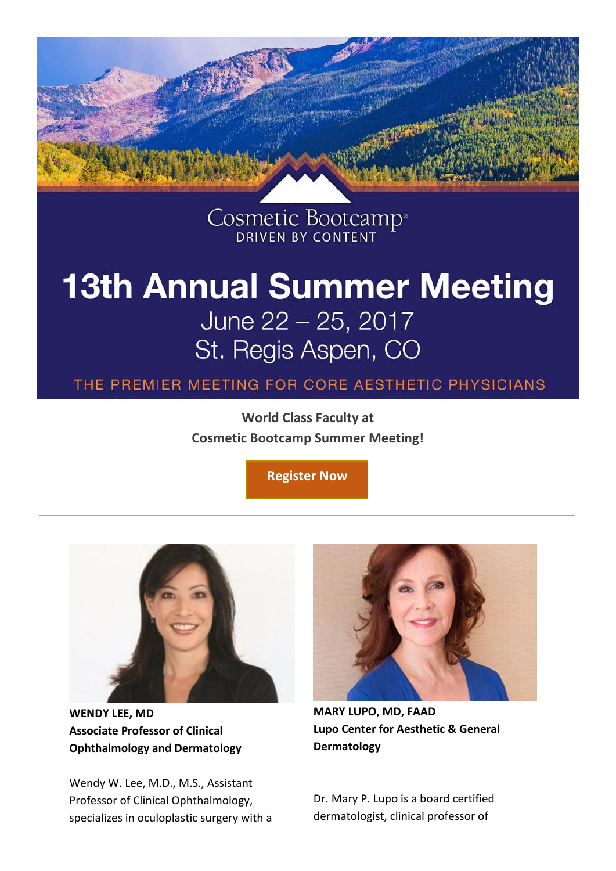

Cosmetic Bootcamp<sup>®</sup>

## **13th Annual Summer Meeting** June 22 - 25, 2017 St. Regis Aspen, CO

THE PREMIER MEETING FOR CORE AESTHETIC PHYSICIANS

**World Class Faculty at Cosmetic Bootcamp Summer Meeting!**

**[Register Now](https://www.cvent.com/events/cosmetic-bootcamp-summer-2017-for-the-core-aesthetic-physician/registration-e487850ac57441968c1bc2c3f1e1ee67.aspx)**



**WENDY LEE, MD Associate Professor of Clinical Ophthalmology and Dermatology**

Wendy W. Lee, M.D., M.S., Assistant Professor of Clinical Ophthalmology, specializes in oculoplastic surgery with a



**MARY LUPO, MD, FAAD Lupo Center for Aesthetic & General Dermatology**

Dr. Mary P. Lupo is a board certified dermatologist, clinical professor of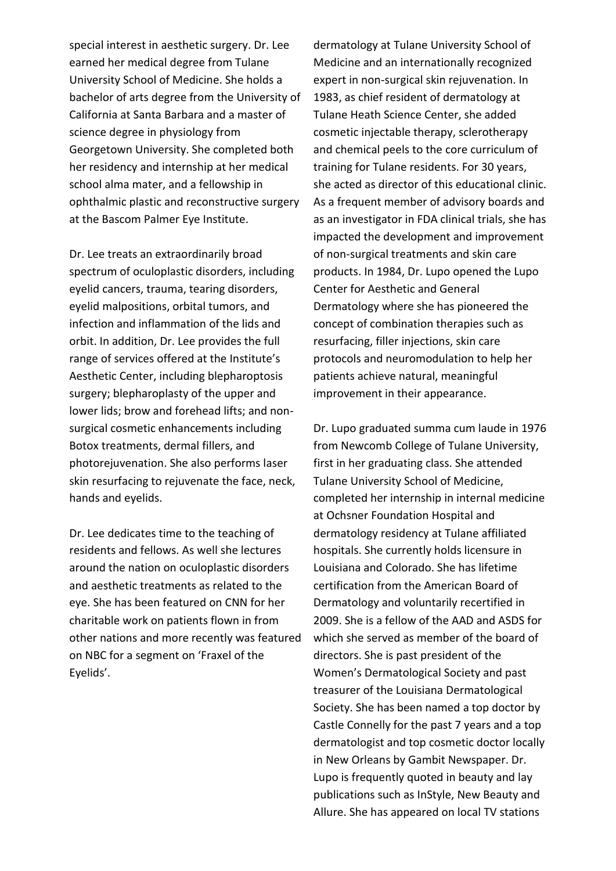special interest in aesthetic surgery. Dr. Lee earned her medical degree from Tulane University School of Medicine. She holds a bachelor of arts degree from the University of California at Santa Barbara and a master of science degree in physiology from Georgetown University. She completed both her residency and internship at her medical school alma mater, and a fellowship in ophthalmic plastic and reconstructive surgery at the Bascom Palmer Eye Institute.

Dr. Lee treats an extraordinarily broad spectrum of oculoplastic disorders, including eyelid cancers, trauma, tearing disorders, eyelid malpositions, orbital tumors, and infection and inflammation of the lids and orbit. In addition, Dr. Lee provides the full range of services offered at the Institute's Aesthetic Center, including blepharoptosis surgery; blepharoplasty of the upper and lower lids; brow and forehead lifts; and nonsurgical cosmetic enhancements including Botox treatments, dermal fillers, and photorejuvenation. She also performs laser skin resurfacing to rejuvenate the face, neck, hands and eyelids.

Dr. Lee dedicates time to the teaching of residents and fellows. As well she lectures around the nation on oculoplastic disorders and aesthetic treatments as related to the eye. She has been featured on CNN for her charitable work on patients flown in from other nations and more recently was featured on NBC for a segment on 'Fraxel of the Eyelids'.

dermatology at Tulane University School of Medicine and an internationally recognized expert in non-surgical skin rejuvenation. In 1983, as chief resident of dermatology at Tulane Heath Science Center, she added cosmetic injectable therapy, sclerotherapy and chemical peels to the core curriculum of training for Tulane residents. For 30 years, she acted as director of this educational clinic. As a frequent member of advisory boards and as an investigator in FDA clinical trials, she has impacted the development and improvement of non-surgical treatments and skin care products. In 1984, Dr. Lupo opened the Lupo Center for Aesthetic and General Dermatology where she has pioneered the concept of combination therapies such as resurfacing, filler injections, skin care protocols and neuromodulation to help her patients achieve natural, meaningful improvement in their appearance.

Dr. Lupo graduated summa cum laude in 1976 from Newcomb College of Tulane University, first in her graduating class. She attended Tulane University School of Medicine, completed her internship in internal medicine at Ochsner Foundation Hospital and dermatology residency at Tulane affiliated hospitals. She currently holds licensure in Louisiana and Colorado. She has lifetime certification from the American Board of Dermatology and voluntarily recertified in 2009. She is a fellow of the AAD and ASDS for which she served as member of the board of directors. She is past president of the Women's Dermatological Society and past treasurer of the Louisiana Dermatological Society. She has been named a top doctor by Castle Connelly for the past 7 years and a top dermatologist and top cosmetic doctor locally in New Orleans by Gambit Newspaper. Dr. Lupo is frequently quoted in beauty and lay publications such as InStyle, New Beauty and Allure. She has appeared on local TV stations